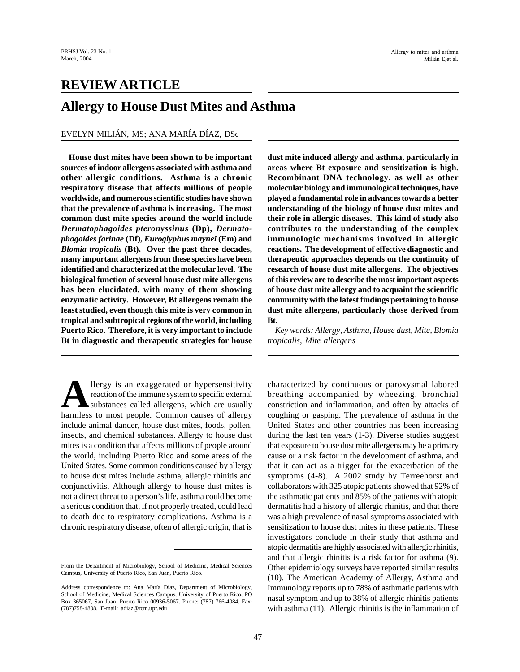# **REVIEW ARTICLE**

# **Allergy to House Dust Mites and Asthma**

#### EVELYN MILIÁN, MS; ANA MARÍA DÍAZ, DSc

**House dust mites have been shown to be important sources of indoor allergens associated with asthma and other allergic conditions. Asthma is a chronic respiratory disease that affects millions of people worldwide, and numerous scientific studies have shown that the prevalence of asthma is increasing. The most common dust mite species around the world include** *Dermatophagoides pteronyssinus* **(Dp),** *Dermatophagoides farinae* **(Df),** *Euroglyphus maynei* **(Em) and** *Blomia tropicalis* **(Bt). Over the past three decades, many important allergens from these species have been identified and characterized at the molecular level. The biological function of several house dust mite allergens has been elucidated, with many of them showing enzymatic activity. However, Bt allergens remain the least studied, even though this mite is very common in tropical and subtropical regions of the world, including Puerto Rico. Therefore, it is very important to include Bt in diagnostic and therapeutic strategies for house**

**A** llergy is an exaggerated or hypersensitivity reaction of the immune system to specific external substances called allergens, which are usually harmless to most people. Common causes of allergy llergy is an exaggerated or hypersensitivity reaction of the immune system to specific external substances called allergens, which are usually include animal dander, house dust mites, foods, pollen, insects, and chemical substances. Allergy to house dust mites is a condition that affects millions of people around the world, including Puerto Rico and some areas of the United States. Some common conditions caused by allergy to house dust mites include asthma, allergic rhinitis and conjunctivitis. Although allergy to house dust mites is not a direct threat to a person's life, asthma could become a serious condition that, if not properly treated, could lead to death due to respiratory complications. Asthma is a chronic respiratory disease, often of allergic origin, that is **dust mite induced allergy and asthma, particularly in areas where Bt exposure and sensitization is high. Recombinant DNA technology, as well as other molecular biology and immunological techniques, have played a fundamental role in advances towards a better understanding of the biology of house dust mites and their role in allergic diseases. This kind of study also contributes to the understanding of the complex immunologic mechanisms involved in allergic reactions. The development of effective diagnostic and therapeutic approaches depends on the continuity of research of house dust mite allergens. The objectives of this review are to describe the most important aspects of house dust mite allergy and to acquaint the scientific community with the latest findings pertaining to house dust mite allergens, particularly those derived from Bt.**

*Key words: Allergy, Asthma, House dust, Mite, Blomia tropicalis, Mite allergens*

characterized by continuous or paroxysmal labored breathing accompanied by wheezing, bronchial constriction and inflammation, and often by attacks of coughing or gasping. The prevalence of asthma in the United States and other countries has been increasing during the last ten years (1-3). Diverse studies suggest that exposure to house dust mite allergens may be a primary cause or a risk factor in the development of asthma, and that it can act as a trigger for the exacerbation of the symptoms (4-8). A 2002 study by Terreehorst and collaborators with 325 atopic patients showed that 92% of the asthmatic patients and 85% of the patients with atopic dermatitis had a history of allergic rhinitis, and that there was a high prevalence of nasal symptoms associated with sensitization to house dust mites in these patients. These investigators conclude in their study that asthma and atopic dermatitis are highly associated with allergic rhinitis, and that allergic rhinitis is a risk factor for asthma (9). Other epidemiology surveys have reported similar results (10). The American Academy of Allergy, Asthma and Immunology reports up to 78% of asthmatic patients with nasal symptom and up to 38% of allergic rhinitis patients with asthma (11). Allergic rhinitis is the inflammation of

From the Department of Microbiology, School of Medicine, Medical Sciences Campus, University of Puerto Rico, San Juan, Puerto Rico.

Address correspondence to: Ana María Diaz, Department of Microbiology, School of Medicine, Medical Sciences Campus, University of Puerto Rico, PO Box 365067, San Juan, Puerto Rico 00936-5067. Phone: (787) 766-4084. Fax: (787)758-4808. E-mail: adiaz@rcm.upr.edu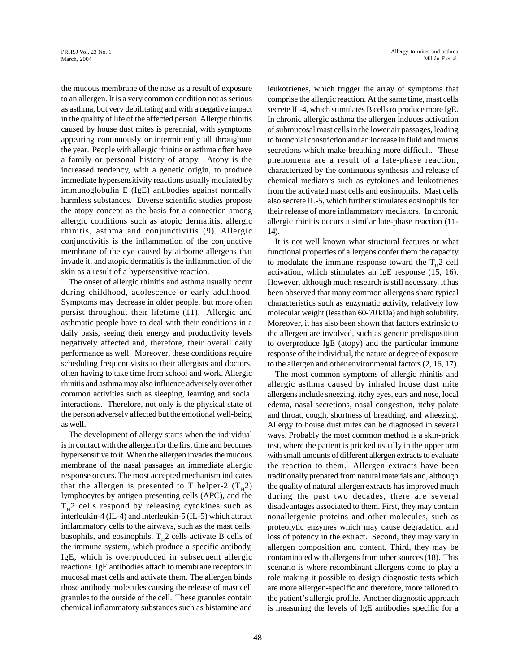the mucous membrane of the nose as a result of exposure to an allergen. It is a very common condition not as serious as asthma, but very debilitating and with a negative impact in the quality of life of the affected person. Allergic rhinitis caused by house dust mites is perennial, with symptoms appearing continuously or intermittently all throughout the year. People with allergic rhinitis or asthma often have a family or personal history of atopy. Atopy is the increased tendency, with a genetic origin, to produce immediate hypersensitivity reactions usually mediated by immunoglobulin E (IgE) antibodies against normally harmless substances. Diverse scientific studies propose the atopy concept as the basis for a connection among allergic conditions such as atopic dermatitis, allergic rhinitis, asthma and conjunctivitis (9). Allergic conjunctivitis is the inflammation of the conjunctive membrane of the eye caused by airborne allergens that invade it, and atopic dermatitis is the inflammation of the skin as a result of a hypersensitive reaction.

The onset of allergic rhinitis and asthma usually occur during childhood, adolescence or early adulthood. Symptoms may decrease in older people, but more often persist throughout their lifetime (11). Allergic and asthmatic people have to deal with their conditions in a daily basis, seeing their energy and productivity levels negatively affected and, therefore, their overall daily performance as well. Moreover, these conditions require scheduling frequent visits to their allergists and doctors, often having to take time from school and work. Allergic rhinitis and asthma may also influence adversely over other common activities such as sleeping, learning and social interactions. Therefore, not only is the physical state of the person adversely affected but the emotional well-being as well.

The development of allergy starts when the individual is in contact with the allergen for the first time and becomes hypersensitive to it. When the allergen invades the mucous membrane of the nasal passages an immediate allergic response occurs. The most accepted mechanism indicates that the allergen is presented to T helper-2  $(T<sub>H</sub>2)$ lymphocytes by antigen presenting cells (APC), and the  $T<sub>H</sub>$ 2 cells respond by releasing cytokines such as interleukin-4 (IL-4) and interleukin-5 (IL-5) which attract inflammatory cells to the airways, such as the mast cells, basophils, and eosinophils.  $T_H^2$  cells activate B cells of the immune system, which produce a specific antibody, IgE, which is overproduced in subsequent allergic reactions. IgE antibodies attach to membrane receptors in mucosal mast cells and activate them. The allergen binds those antibody molecules causing the release of mast cell granules to the outside of the cell. These granules contain chemical inflammatory substances such as histamine and leukotrienes, which trigger the array of symptoms that comprise the allergic reaction. At the same time, mast cells secrete IL-4, which stimulates B cells to produce more IgE. In chronic allergic asthma the allergen induces activation of submucosal mast cells in the lower air passages, leading to bronchial constriction and an increase in fluid and mucus secretions which make breathing more difficult. These phenomena are a result of a late-phase reaction, characterized by the continuous synthesis and release of chemical mediators such as cytokines and leukotrienes from the activated mast cells and eosinophils. Mast cells also secrete IL-5, which further stimulates eosinophils for their release of more inflammatory mediators. In chronic allergic rhinitis occurs a similar late-phase reaction (11- 14).

It is not well known what structural features or what functional properties of allergens confer them the capacity to modulate the immune response toward the  $T_H^2$  cell activation, which stimulates an IgE response (15, 16). However, although much research is still necessary, it has been observed that many common allergens share typical characteristics such as enzymatic activity, relatively low molecular weight (less than 60-70 kDa) and high solubility. Moreover, it has also been shown that factors extrinsic to the allergen are involved, such as genetic predisposition to overproduce IgE (atopy) and the particular immune response of the individual, the nature or degree of exposure to the allergen and other environmental factors (2, 16, 17).

The most common symptoms of allergic rhinitis and allergic asthma caused by inhaled house dust mite allergens include sneezing, itchy eyes, ears and nose, local edema, nasal secretions, nasal congestion, itchy palate and throat, cough, shortness of breathing, and wheezing. Allergy to house dust mites can be diagnosed in several ways. Probably the most common method is a skin-prick test, where the patient is pricked usually in the upper arm with small amounts of different allergen extracts to evaluate the reaction to them. Allergen extracts have been traditionally prepared from natural materials and, although the quality of natural allergen extracts has improved much during the past two decades, there are several disadvantages associated to them. First, they may contain nonallergenic proteins and other molecules, such as proteolytic enzymes which may cause degradation and loss of potency in the extract. Second, they may vary in allergen composition and content. Third, they may be contaminated with allergens from other sources (18). This scenario is where recombinant allergens come to play a role making it possible to design diagnostic tests which are more allergen-specific and therefore, more tailored to the patient's allergic profile. Another diagnostic approach is measuring the levels of IgE antibodies specific for a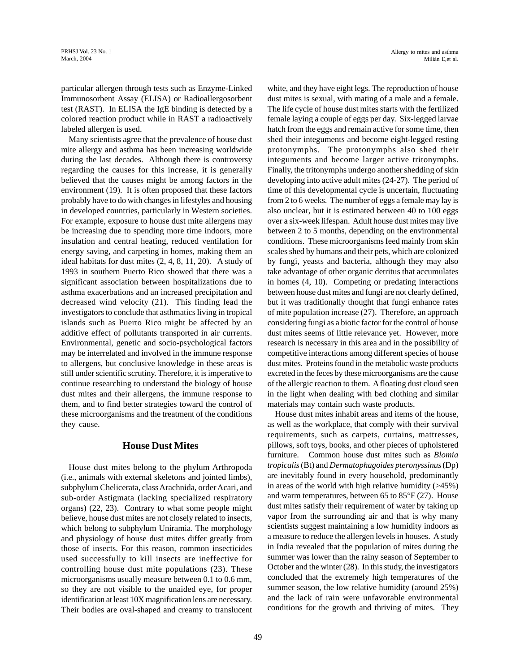particular allergen through tests such as Enzyme-Linked Immunosorbent Assay (ELISA) or Radioallergosorbent test (RAST). In ELISA the IgE binding is detected by a colored reaction product while in RAST a radioactively labeled allergen is used.

Many scientists agree that the prevalence of house dust mite allergy and asthma has been increasing worldwide during the last decades. Although there is controversy regarding the causes for this increase, it is generally believed that the causes might be among factors in the environment (19). It is often proposed that these factors probably have to do with changes in lifestyles and housing in developed countries, particularly in Western societies. For example, exposure to house dust mite allergens may be increasing due to spending more time indoors, more insulation and central heating, reduced ventilation for energy saving, and carpeting in homes, making them an ideal habitats for dust mites (2, 4, 8, 11, 20). A study of 1993 in southern Puerto Rico showed that there was a significant association between hospitalizations due to asthma exacerbations and an increased precipitation and decreased wind velocity (21). This finding lead the investigators to conclude that asthmatics living in tropical islands such as Puerto Rico might be affected by an additive effect of pollutants transported in air currents. Environmental, genetic and socio-psychological factors may be interrelated and involved in the immune response to allergens, but conclusive knowledge in these areas is still under scientific scrutiny. Therefore, it is imperative to continue researching to understand the biology of house dust mites and their allergens, the immune response to them, and to find better strategies toward the control of these microorganisms and the treatment of the conditions they cause.

#### **House Dust Mites**

House dust mites belong to the phylum Arthropoda (i.e., animals with external skeletons and jointed limbs), subphylum Chelicerata, class Arachnida, order Acari, and sub-order Astigmata (lacking specialized respiratory organs) (22, 23). Contrary to what some people might believe, house dust mites are not closely related to insects, which belong to subphylum Uniramia. The morphology and physiology of house dust mites differ greatly from those of insects. For this reason, common insecticides used successfully to kill insects are ineffective for controlling house dust mite populations (23). These microorganisms usually measure between 0.1 to 0.6 mm, so they are not visible to the unaided eye, for proper identification at least 10X magnification lens are necessary. Their bodies are oval-shaped and creamy to translucent white, and they have eight legs. The reproduction of house dust mites is sexual, with mating of a male and a female. The life cycle of house dust mites starts with the fertilized female laying a couple of eggs per day. Six-legged larvae hatch from the eggs and remain active for some time, then shed their integuments and become eight-legged resting protonymphs. The protonymphs also shed their integuments and become larger active tritonymphs. Finally, the tritonymphs undergo another shedding of skin developing into active adult mites (24-27). The period of time of this developmental cycle is uncertain, fluctuating from 2 to 6 weeks. The number of eggs a female may lay is also unclear, but it is estimated between 40 to 100 eggs over a six-week lifespan. Adult house dust mites may live between 2 to 5 months, depending on the environmental conditions. These microorganisms feed mainly from skin scales shed by humans and their pets, which are colonized by fungi, yeasts and bacteria, although they may also take advantage of other organic detritus that accumulates in homes (4, 10). Competing or predating interactions between house dust mites and fungi are not clearly defined, but it was traditionally thought that fungi enhance rates of mite population increase (27). Therefore, an approach considering fungi as a biotic factor for the control of house dust mites seems of little relevance yet. However, more research is necessary in this area and in the possibility of competitive interactions among different species of house dust mites. Proteins found in the metabolic waste products excreted in the feces by these microorganisms are the cause of the allergic reaction to them. A floating dust cloud seen in the light when dealing with bed clothing and similar materials may contain such waste products.

House dust mites inhabit areas and items of the house, as well as the workplace, that comply with their survival requirements, such as carpets, curtains, mattresses, pillows, soft toys, books, and other pieces of upholstered furniture. Common house dust mites such as *Blomia tropicalis* (Bt) and *Dermatophagoides pteronyssinus* (Dp) are inevitably found in every household, predominantly in areas of the world with high relative humidity  $($ >45%) and warm temperatures, between 65 to 85°F (27). House dust mites satisfy their requirement of water by taking up vapor from the surrounding air and that is why many scientists suggest maintaining a low humidity indoors as a measure to reduce the allergen levels in houses. A study in India revealed that the population of mites during the summer was lower than the rainy season of September to October and the winter (28). In this study, the investigators concluded that the extremely high temperatures of the summer season, the low relative humidity (around 25%) and the lack of rain were unfavorable environmental conditions for the growth and thriving of mites. They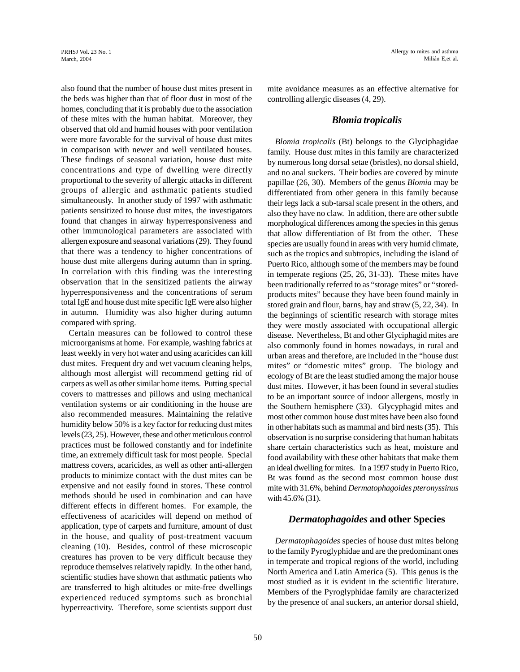also found that the number of house dust mites present in the beds was higher than that of floor dust in most of the homes, concluding that it is probably due to the association of these mites with the human habitat. Moreover, they observed that old and humid houses with poor ventilation were more favorable for the survival of house dust mites in comparison with newer and well ventilated houses. These findings of seasonal variation, house dust mite concentrations and type of dwelling were directly proportional to the severity of allergic attacks in different groups of allergic and asthmatic patients studied simultaneously. In another study of 1997 with asthmatic patients sensitized to house dust mites, the investigators found that changes in airway hyperresponsiveness and other immunological parameters are associated with allergen exposure and seasonal variations (29). They found that there was a tendency to higher concentrations of house dust mite allergens during autumn than in spring. In correlation with this finding was the interesting observation that in the sensitized patients the airway hyperresponsiveness and the concentrations of serum total IgE and house dust mite specific IgE were also higher in autumn. Humidity was also higher during autumn compared with spring.

Certain measures can be followed to control these microorganisms at home. For example, washing fabrics at least weekly in very hot water and using acaricides can kill dust mites. Frequent dry and wet vacuum cleaning helps, although most allergist will recommend getting rid of carpets as well as other similar home items. Putting special covers to mattresses and pillows and using mechanical ventilation systems or air conditioning in the house are also recommended measures. Maintaining the relative humidity below 50% is a key factor for reducing dust mites levels (23, 25). However, these and other meticulous control practices must be followed constantly and for indefinite time, an extremely difficult task for most people. Special mattress covers, acaricides, as well as other anti-allergen products to minimize contact with the dust mites can be expensive and not easily found in stores. These control methods should be used in combination and can have different effects in different homes. For example, the effectiveness of acaricides will depend on method of application, type of carpets and furniture, amount of dust in the house, and quality of post-treatment vacuum cleaning (10). Besides, control of these microscopic creatures has proven to be very difficult because they reproduce themselves relatively rapidly. In the other hand, scientific studies have shown that asthmatic patients who are transferred to high altitudes or mite-free dwellings experienced reduced symptoms such as bronchial hyperreactivity. Therefore, some scientists support dust mite avoidance measures as an effective alternative for controlling allergic diseases (4, 29).

#### *Blomia tropicalis*

*Blomia tropicalis* (Bt) belongs to the Glyciphagidae family. House dust mites in this family are characterized by numerous long dorsal setae (bristles), no dorsal shield, and no anal suckers. Their bodies are covered by minute papillae (26, 30). Members of the genus *Blomia* may be differentiated from other genera in this family because their legs lack a sub-tarsal scale present in the others, and also they have no claw. In addition, there are other subtle morphological differences among the species in this genus that allow differentiation of Bt from the other. These species are usually found in areas with very humid climate, such as the tropics and subtropics, including the island of Puerto Rico, although some of the members may be found in temperate regions (25, 26, 31-33). These mites have been traditionally referred to as "storage mites" or "storedproducts mites" because they have been found mainly in stored grain and flour, barns, hay and straw (5, 22, 34). In the beginnings of scientific research with storage mites they were mostly associated with occupational allergic disease. Nevertheless, Bt and other Glyciphagid mites are also commonly found in homes nowadays, in rural and urban areas and therefore, are included in the "house dust mites" or "domestic mites" group. The biology and ecology of Bt are the least studied among the major house dust mites. However, it has been found in several studies to be an important source of indoor allergens, mostly in the Southern hemisphere (33). Glycyphagid mites and most other common house dust mites have been also found in other habitats such as mammal and bird nests (35). This observation is no surprise considering that human habitats share certain characteristics such as heat, moisture and food availability with these other habitats that make them an ideal dwelling for mites. In a 1997 study in Puerto Rico, Bt was found as the second most common house dust mite with 31.6%, behind *Dermatophagoides pteronyssinus* with 45.6% (31).

## *Dermatophagoides* **and other Species**

*Dermatophagoides* species of house dust mites belong to the family Pyroglyphidae and are the predominant ones in temperate and tropical regions of the world, including North America and Latin America (5). This genus is the most studied as it is evident in the scientific literature. Members of the Pyroglyphidae family are characterized by the presence of anal suckers, an anterior dorsal shield,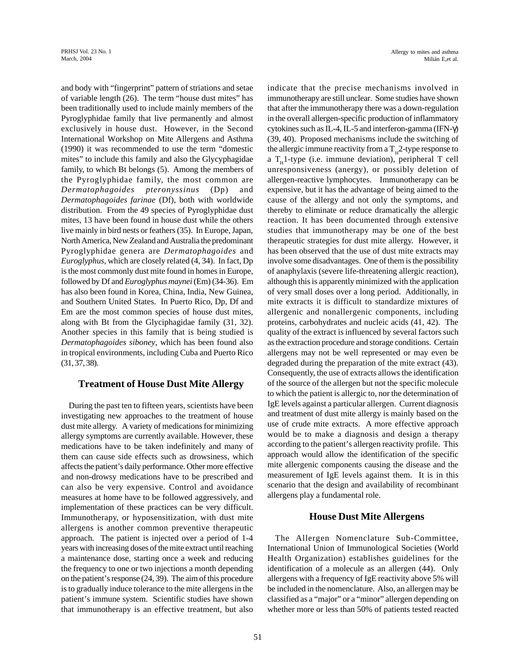and body with "fingerprint" pattern of striations and setae of variable length (26). The term "house dust mites" has been traditionally used to include mainly members of the Pyroglyphidae family that live permanently and almost exclusively in house dust. However, in the Second International Workshop on Mite Allergens and Asthma (1990) it was recommended to use the term "domestic mites" to include this family and also the Glycyphagidae family, to which Bt belongs (5). Among the members of the Pyroglyphidae family, the most common are *Dermatophagoides pteronyssinus* (Dp) and *Dermatophagoides farinae* (Df), both with worldwide distribution. From the 49 species of Pyroglyphidae dust mites, 13 have been found in house dust while the others live mainly in bird nests or feathers (35). In Europe, Japan, North America, New Zealand and Australia the predominant Pyroglyphidae genera are *Dermatophagoides* and *Euroglyphus*, which are closely related (4, 34). In fact, Dp is the most commonly dust mite found in homes in Europe, followed by Df and *Euroglyphus maynei* (Em) (34-36). Em has also been found in Korea, China, India, New Guinea, and Southern United States. In Puerto Rico, Dp, Df and Em are the most common species of house dust mites, along with Bt from the Glyciphagidae family (31, 32). Another species in this family that is being studied is *Dermatophagoides siboney*, which has been found also in tropical environments, including Cuba and Puerto Rico (31, 37, 38).

## **Treatment of House Dust Mite Allergy**

During the past ten to fifteen years, scientists have been investigating new approaches to the treatment of house dust mite allergy. A variety of medications for minimizing allergy symptoms are currently available. However, these medications have to be taken indefinitely and many of them can cause side effects such as drowsiness, which affects the patient's daily performance. Other more effective and non-drowsy medications have to be prescribed and can also be very expensive. Control and avoidance measures at home have to be followed aggressively, and implementation of these practices can be very difficult. Immunotherapy, or hyposensitization, with dust mite allergens is another common preventive therapeutic approach. The patient is injected over a period of 1-4 years with increasing doses of the mite extract until reaching a maintenance dose, starting once a week and reducing the frequency to one or two injections a month depending on the patient's response (24, 39). The aim of this procedure is to gradually induce tolerance to the mite allergens in the patient's immune system. Scientific studies have shown that immunotherapy is an effective treatment, but also

Allergy to mites and asthma Milián E,et al.

indicate that the precise mechanisms involved in immunotherapy are still unclear. Some studies have shown that after the immunotherapy there was a down-regulation in the overall allergen-specific production of inflammatory cytokines such as IL-4, IL-5 and interferon-gamma (IFN-γ) (39, 40). Proposed mechanisms include the switching of the allergic immune reactivity from a  $T_{\rm H}$ 2-type response to a  $T_H$ 1-type (i.e. immune deviation), peripheral T cell unresponsiveness (anergy), or possibly deletion of allergen-reactive lymphocytes. Immunotherapy can be expensive, but it has the advantage of being aimed to the cause of the allergy and not only the symptoms, and thereby to eliminate or reduce dramatically the allergic reaction. It has been documented through extensive studies that immunotherapy may be one of the best therapeutic strategies for dust mite allergy. However, it has been observed that the use of dust mite extracts may involve some disadvantages. One of them is the possibility of anaphylaxis (severe life-threatening allergic reaction), although this is apparently minimized with the application of very small doses over a long period. Additionally, in mite extracts it is difficult to standardize mixtures of allergenic and nonallergenic components, including proteins, carbohydrates and nucleic acids (41, 42). The quality of the extract is influenced by several factors such as the extraction procedure and storage conditions. Certain allergens may not be well represented or may even be degraded during the preparation of the mite extract (43). Consequently, the use of extracts allows the identification of the source of the allergen but not the specific molecule to which the patient is allergic to, nor the determination of IgE levels against a particular allergen. Current diagnosis and treatment of dust mite allergy is mainly based on the use of crude mite extracts. A more effective approach would be to make a diagnosis and design a therapy according to the patient's allergen reactivity profile. This approach would allow the identification of the specific mite allergenic components causing the disease and the measurement of IgE levels against them. It is in this scenario that the design and availability of recombinant allergens play a fundamental role.

## **House Dust Mite Allergens**

The Allergen Nomenclature Sub-Committee, International Union of Immunological Societies (World Health Organization) establishes guidelines for the identification of a molecule as an allergen (44). Only allergens with a frequency of IgE reactivity above 5% will be included in the nomenclature. Also, an allergen may be classified as a "major" or a "minor" allergen depending on whether more or less than 50% of patients tested reacted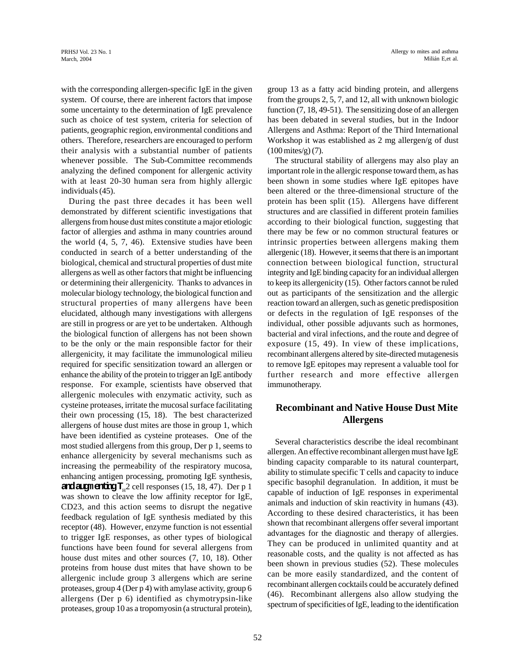with the corresponding allergen-specific IgE in the given system. Of course, there are inherent factors that impose some uncertainty to the determination of IgE prevalence such as choice of test system, criteria for selection of patients, geographic region, environmental conditions and others. Therefore, researchers are encouraged to perform their analysis with a substantial number of patients whenever possible. The Sub-Committee recommends analyzing the defined component for allergenic activity with at least 20-30 human sera from highly allergic individuals (45).

During the past three decades it has been well demonstrated by different scientific investigations that allergens from house dust mites constitute a major etiologic factor of allergies and asthma in many countries around the world (4, 5, 7, 46). Extensive studies have been conducted in search of a better understanding of the biological, chemical and structural properties of dust mite allergens as well as other factors that might be influencing or determining their allergenicity. Thanks to advances in molecular biology technology, the biological function and structural properties of many allergens have been elucidated, although many investigations with allergens are still in progress or are yet to be undertaken. Although the biological function of allergens has not been shown to be the only or the main responsible factor for their allergenicity, it may facilitate the immunological milieu required for specific sensitization toward an allergen or enhance the ability of the protein to trigger an IgE antibody response. For example, scientists have observed that allergenic molecules with enzymatic activity, such as cysteine proteases, irritate the mucosal surface facilitating their own processing (15, 18). The best characterized allergens of house dust mites are those in group 1, which have been identified as cysteine proteases. One of the most studied allergens from this group, Der p 1, seems to enhance allergenicity by several mechanisms such as increasing the permeability of the respiratory mucosa, enhancing antigen processing, promoting IgE synthesis, **and augmenting T**<sub>H</sub>2 cell responses (15, 18, 47). Der p 1 was shown to cleave the low affinity receptor for IgE, CD23, and this action seems to disrupt the negative feedback regulation of IgE synthesis mediated by this receptor (48). However, enzyme function is not essential to trigger IgE responses, as other types of biological functions have been found for several allergens from house dust mites and other sources (7, 10, 18). Other proteins from house dust mites that have shown to be allergenic include group 3 allergens which are serine proteases, group 4 (Der p 4) with amylase activity, group 6 allergens (Der p 6) identified as chymotrypsin-like proteases, group 10 as a tropomyosin (a structural protein), group 13 as a fatty acid binding protein, and allergens from the groups 2, 5, 7, and 12, all with unknown biologic function (7, 18, 49-51). The sensitizing dose of an allergen has been debated in several studies, but in the Indoor Allergens and Asthma: Report of the Third International Workshop it was established as 2 mg allergen/g of dust (100 mites/g) (7).

The structural stability of allergens may also play an important role in the allergic response toward them, as has been shown in some studies where IgE epitopes have been altered or the three-dimensional structure of the protein has been split (15). Allergens have different structures and are classified in different protein families according to their biological function, suggesting that there may be few or no common structural features or intrinsic properties between allergens making them allergenic (18). However, it seems that there is an important connection between biological function, structural integrity and IgE binding capacity for an individual allergen to keep its allergenicity (15). Other factors cannot be ruled out as participants of the sensitization and the allergic reaction toward an allergen, such as genetic predisposition or defects in the regulation of IgE responses of the individual, other possible adjuvants such as hormones, bacterial and viral infections, and the route and degree of exposure (15, 49). In view of these implications, recombinant allergens altered by site-directed mutagenesis to remove IgE epitopes may represent a valuable tool for further research and more effective allergen immunotherapy.

# **Recombinant and Native House Dust Mite Allergens**

Several characteristics describe the ideal recombinant allergen. An effective recombinant allergen must have IgE binding capacity comparable to its natural counterpart, ability to stimulate specific T cells and capacity to induce specific basophil degranulation. In addition, it must be capable of induction of IgE responses in experimental animals and induction of skin reactivity in humans (43). According to these desired characteristics, it has been shown that recombinant allergens offer several important advantages for the diagnostic and therapy of allergies. They can be produced in unlimited quantity and at reasonable costs, and the quality is not affected as has been shown in previous studies (52). These molecules can be more easily standardized, and the content of recombinant allergen cocktails could be accurately defined (46). Recombinant allergens also allow studying the spectrum of specificities of IgE, leading to the identification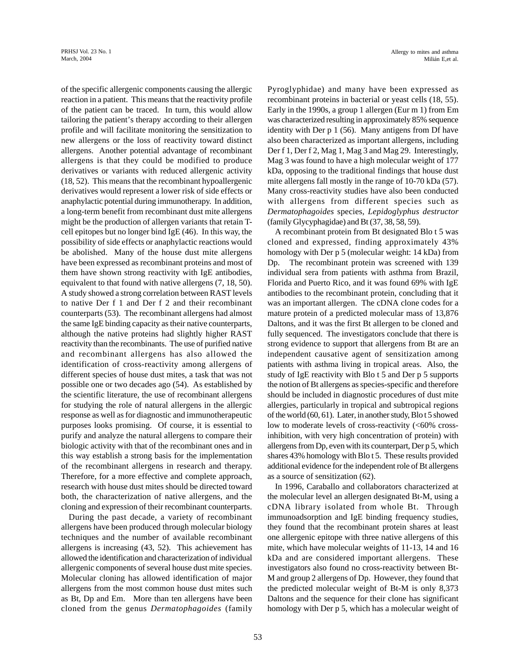of the specific allergenic components causing the allergic reaction in a patient. This means that the reactivity profile of the patient can be traced. In turn, this would allow tailoring the patient's therapy according to their allergen profile and will facilitate monitoring the sensitization to new allergens or the loss of reactivity toward distinct allergens. Another potential advantage of recombinant allergens is that they could be modified to produce derivatives or variants with reduced allergenic activity (18, 52). This means that the recombinant hypoallergenic derivatives would represent a lower risk of side effects or anaphylactic potential during immunotherapy. In addition, a long-term benefit from recombinant dust mite allergens might be the production of allergen variants that retain Tcell epitopes but no longer bind IgE (46). In this way, the possibility of side effects or anaphylactic reactions would be abolished. Many of the house dust mite allergens have been expressed as recombinant proteins and most of them have shown strong reactivity with IgE antibodies, equivalent to that found with native allergens (7, 18, 50). A study showed a strong correlation between RAST levels to native Der f 1 and Der f 2 and their recombinant counterparts (53). The recombinant allergens had almost the same IgE binding capacity as their native counterparts, although the native proteins had slightly higher RAST reactivity than the recombinants. The use of purified native and recombinant allergens has also allowed the identification of cross-reactivity among allergens of different species of house dust mites, a task that was not possible one or two decades ago (54). As established by the scientific literature, the use of recombinant allergens for studying the role of natural allergens in the allergic response as well as for diagnostic and immunotherapeutic purposes looks promising. Of course, it is essential to purify and analyze the natural allergens to compare their biologic activity with that of the recombinant ones and in this way establish a strong basis for the implementation of the recombinant allergens in research and therapy. Therefore, for a more effective and complete approach, research with house dust mites should be directed toward both, the characterization of native allergens, and the cloning and expression of their recombinant counterparts.

During the past decade, a variety of recombinant allergens have been produced through molecular biology techniques and the number of available recombinant allergens is increasing (43, 52). This achievement has allowed the identification and characterization of individual allergenic components of several house dust mite species. Molecular cloning has allowed identification of major allergens from the most common house dust mites such as Bt, Dp and Em. More than ten allergens have been cloned from the genus *Dermatophagoides* (family Pyroglyphidae) and many have been expressed as recombinant proteins in bacterial or yeast cells (18, 55). Early in the 1990s, a group 1 allergen (Eur m 1) from Em was characterized resulting in approximately 85% sequence identity with Der p 1 (56). Many antigens from Df have also been characterized as important allergens, including Der f 1, Der f 2, Mag 1, Mag 3 and Mag 29. Interestingly, Mag 3 was found to have a high molecular weight of 177 kDa, opposing to the traditional findings that house dust mite allergens fall mostly in the range of 10-70 kDa (57). Many cross-reactivity studies have also been conducted with allergens from different species such as *Dermatophagoides* species, *Lepidoglyphus destructor* (family Glycyphagidae) and Bt (37, 38, 58, 59).

A recombinant protein from Bt designated Blo t 5 was cloned and expressed, finding approximately 43% homology with Der p 5 (molecular weight: 14 kDa) from Dp. The recombinant protein was screened with 139 individual sera from patients with asthma from Brazil, Florida and Puerto Rico, and it was found 69% with IgE antibodies to the recombinant protein, concluding that it was an important allergen. The cDNA clone codes for a mature protein of a predicted molecular mass of 13,876 Daltons, and it was the first Bt allergen to be cloned and fully sequenced. The investigators conclude that there is strong evidence to support that allergens from Bt are an independent causative agent of sensitization among patients with asthma living in tropical areas. Also, the study of IgE reactivity with Blo t 5 and Der p 5 supports the notion of Bt allergens as species-specific and therefore should be included in diagnostic procedures of dust mite allergies, particularly in tropical and subtropical regions of the world (60, 61). Later, in another study, Blo t 5 showed low to moderate levels of cross-reactivity (<60% crossinhibition, with very high concentration of protein) with allergens from Dp, even with its counterpart, Der p 5, which shares 43% homology with Blo t 5. These results provided additional evidence for the independent role of Bt allergens as a source of sensitization (62).

In 1996, Caraballo and collaborators characterized at the molecular level an allergen designated Bt-M, using a cDNA library isolated from whole Bt. Through immunoadsorption and IgE binding frequency studies, they found that the recombinant protein shares at least one allergenic epitope with three native allergens of this mite, which have molecular weights of 11-13, 14 and 16 kDa and are considered important allergens. These investigators also found no cross-reactivity between Bt-M and group 2 allergens of Dp. However, they found that the predicted molecular weight of Bt-M is only 8,373 Daltons and the sequence for their clone has significant homology with Der p 5, which has a molecular weight of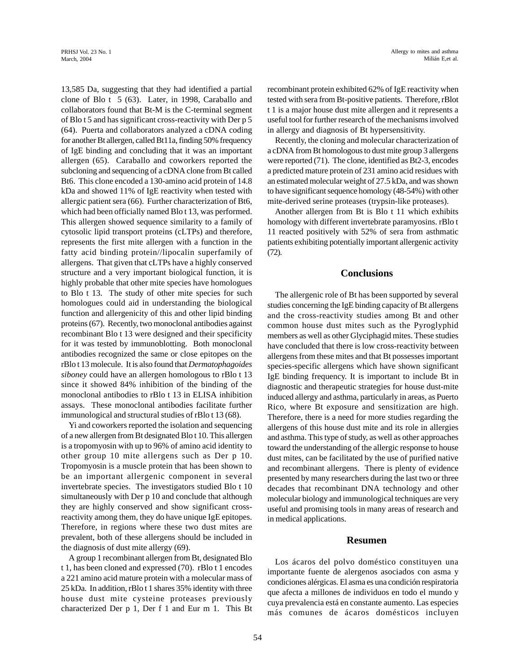13,585 Da, suggesting that they had identified a partial clone of Blo t 5 (63). Later, in 1998, Caraballo and collaborators found that Bt-M is the C-terminal segment of Blo t 5 and has significant cross-reactivity with Der p 5 (64). Puerta and collaborators analyzed a cDNA coding for another Bt allergen, called Bt11a, finding 50% frequency of IgE binding and concluding that it was an important allergen (65). Caraballo and coworkers reported the subcloning and sequencing of a cDNA clone from Bt called Bt6. This clone encoded a 130-amino acid protein of 14.8 kDa and showed 11% of IgE reactivity when tested with allergic patient sera (66). Further characterization of Bt6, which had been officially named Blo t 13, was performed. This allergen showed sequence similarity to a family of cytosolic lipid transport proteins (cLTPs) and therefore, represents the first mite allergen with a function in the fatty acid binding protein//lipocalin superfamily of allergens. That given that cLTPs have a highly conserved structure and a very important biological function, it is highly probable that other mite species have homologues to Blo t 13. The study of other mite species for such homologues could aid in understanding the biological function and allergenicity of this and other lipid binding proteins (67). Recently, two monoclonal antibodies against recombinant Blo t 13 were designed and their specificity for it was tested by immunoblotting. Both monoclonal antibodies recognized the same or close epitopes on the rBlo t 13 molecule. It is also found that *Dermatophagoides siboney* could have an allergen homologous to rBlo t 13 since it showed 84% inhibition of the binding of the monoclonal antibodies to rBlo t 13 in ELISA inhibition assays. These monoclonal antibodies facilitate further immunological and structural studies of rBlo t 13 (68).

Yi and coworkers reported the isolation and sequencing of a new allergen from Bt designated Blo t 10. This allergen is a tropomyosin with up to 96% of amino acid identity to other group 10 mite allergens such as Der p 10. Tropomyosin is a muscle protein that has been shown to be an important allergenic component in several invertebrate species. The investigators studied Blo t 10 simultaneously with Der p 10 and conclude that although they are highly conserved and show significant crossreactivity among them, they do have unique IgE epitopes. Therefore, in regions where these two dust mites are prevalent, both of these allergens should be included in the diagnosis of dust mite allergy (69).

A group 1 recombinant allergen from Bt, designated Blo t 1, has been cloned and expressed (70). rBlo t 1 encodes a 221 amino acid mature protein with a molecular mass of 25 kDa. In addition, rBlo t 1 shares 35% identity with three house dust mite cysteine proteases previously characterized Der p 1, Der f 1 and Eur m 1. This Bt recombinant protein exhibited 62% of IgE reactivity when tested with sera from Bt-positive patients. Therefore, rBlot t 1 is a major house dust mite allergen and it represents a useful tool for further research of the mechanisms involved in allergy and diagnosis of Bt hypersensitivity.

Recently, the cloning and molecular characterization of a cDNA from Bt homologous to dust mite group 3 allergens were reported (71). The clone, identified as Bt2-3, encodes a predicted mature protein of 231 amino acid residues with an estimated molecular weight of 27.5 kDa, and was shown to have significant sequence homology (48-54%) with other mite-derived serine proteases (trypsin-like proteases).

Another allergen from Bt is Blo t 11 which exhibits homology with different invertebrate paramyosins. rBlo t 11 reacted positively with 52% of sera from asthmatic patients exhibiting potentially important allergenic activity (72).

#### **Conclusions**

The allergenic role of Bt has been supported by several studies concerning the IgE binding capacity of Bt allergens and the cross-reactivity studies among Bt and other common house dust mites such as the Pyroglyphid members as well as other Glyciphagid mites. These studies have concluded that there is low cross-reactivity between allergens from these mites and that Bt possesses important species-specific allergens which have shown significant IgE binding frequency. It is important to include Bt in diagnostic and therapeutic strategies for house dust-mite induced allergy and asthma, particularly in areas, as Puerto Rico, where Bt exposure and sensitization are high. Therefore, there is a need for more studies regarding the allergens of this house dust mite and its role in allergies and asthma. This type of study, as well as other approaches toward the understanding of the allergic response to house dust mites, can be facilitated by the use of purified native and recombinant allergens. There is plenty of evidence presented by many researchers during the last two or three decades that recombinant DNA technology and other molecular biology and immunological techniques are very useful and promising tools in many areas of research and in medical applications.

#### **Resumen**

Los ácaros del polvo doméstico constituyen una importante fuente de alergenos asociados con asma y condiciones alérgicas. El asma es una condición respiratoria que afecta a millones de individuos en todo el mundo y cuya prevalencia está en constante aumento. Las especies más comunes de ácaros domésticos incluyen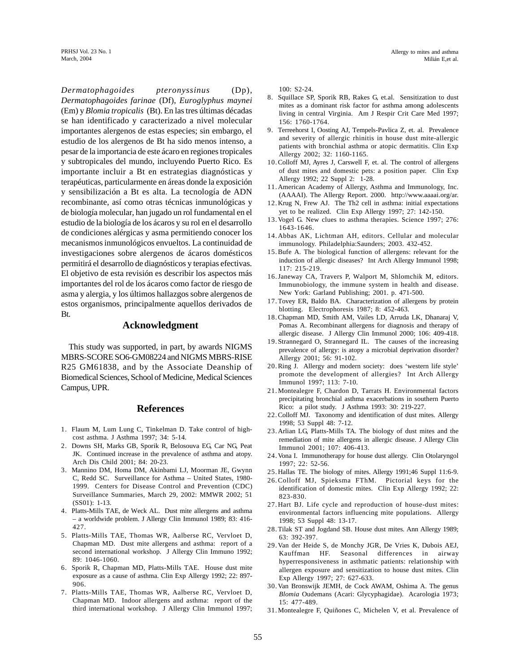*Dermatophagoides pteronyssinus* (Dp), *Dermatophagoides farinae* (Df), *Euroglyphus maynei* (Em) y *Blomia tropicalis* (Bt). En las tres últimas décadas se han identificado y caracterizado a nivel molecular importantes alergenos de estas especies; sin embargo, el estudio de los alergenos de Bt ha sido menos intenso, a pesar de la importancia de este ácaro en regiones tropicales y subtropicales del mundo, incluyendo Puerto Rico. Es importante incluir a Bt en estrategias diagnósticas y terapéuticas, particularmente en áreas donde la exposición y sensibilización a Bt es alta. La tecnología de ADN recombinante, así como otras técnicas inmunológicas y de biología molecular, han jugado un rol fundamental en el estudio de la biología de los ácaros y su rol en el desarrollo de condiciones alérgicas y asma permitiendo conocer los mecanismos inmunológicos envueltos. La continuidad de investigaciones sobre alergenos de ácaros domésticos permitirá el desarrollo de diagnósticos y terapias efectivas. El objetivo de esta revisión es describir los aspectos más importantes del rol de los ácaros como factor de riesgo de asma y alergia, y los últimos hallazgos sobre alergenos de estos organismos, principalmente aquellos derivados de Bt.

## **Acknowledgment**

This study was supported, in part, by awards NIGMS MBRS-SCORE SO6-GM08224 and NIGMS MBRS-RISE R25 GM61838, and by the Associate Deanship of Biomedical Sciences, School of Medicine, Medical Sciences Campus, UPR.

#### **References**

- 1. Flaum M, Lum Lung C, Tinkelman D. Take control of highcost asthma. J Asthma 1997; 34: 5-14.
- 2. Downs SH, Marks GB, Sporik R, Belosouva EG, Car NG, Peat JK. Continued increase in the prevalence of asthma and atopy. Arch Dis Child 2001; 84: 20-23.
- 3. Mannino DM, Homa DM, Akinbami LJ, Moorman JE, Gwynn C, Redd SC. Surveillance for Asthma – United States, 1980- 1999. Centers for Disease Control and Prevention (CDC) Surveillance Summaries, March 29, 2002: MMWR 2002; 51 (SS01): 1-13.
- 4. Platts-Mills TAE, de Weck AL. Dust mite allergens and asthma – a worldwide problem. J Allergy Clin Immunol 1989; 83: 416- 427.
- 5. Platts-Mills TAE, Thomas WR, Aalberse RC, Vervloet D, Chapman MD. Dust mite allergens and asthma: report of a second international workshop. J Allergy Clin Immuno 1992; 89: 1046-1060.
- 6. Sporik R, Chapman MD, Platts-Mills TAE. House dust mite exposure as a cause of asthma. Clin Exp Allergy 1992; 22: 897- 906.
- 7. Platts-Mills TAE, Thomas WR, Aalberse RC, Vervloet D, Chapman MD. Indoor allergens and asthma: report of the third international workshop. J Allergy Clin Immunol 1997;

100: S2-24.

- 8. Squillace SP, Sporik RB, Rakes G, et.al. Sensitization to dust mites as a dominant risk factor for asthma among adolescents living in central Virginia. Am J Respir Crit Care Med 1997; 156: 1760-1764.
- 9. Terreehorst I, Oosting AJ, Tempels-Pavlica Z, et. al. Prevalence and severity of allergic rhinitis in house dust mite-allergic patients with bronchial asthma or atopic dermatitis. Clin Exp Allergy 2002; 32: 1160-1165.
- 10.Colloff MJ, Ayres J, Carswell F, et. al. The control of allergens of dust mites and domestic pets: a position paper. Clin Exp Allergy 1992; 22 Suppl 2: 1-28.
- 11.American Academy of Allergy, Asthma and Immunology, Inc. (AAAAI). The Allergy Report. 2000. http://www.aaaai.org/ar.
- 12.Krug N, Frew AJ. The Th2 cell in asthma: initial expectations yet to be realized. Clin Exp Allergy 1997; 27: 142-150.
- 13.Vogel G. New clues to asthma therapies. Science 1997; 276: 1643-1646.
- 14.Abbas AK, Lichtman AH, editors. Cellular and molecular immunology. Philadelphia:Saunders; 2003. 432-452.
- 15.Bufe A. The biological function of allergens: relevant for the induction of allergic diseases? Int Arch Allergy Immunol 1998; 117: 215-219.
- 16.Janeway CA, Travers P, Walport M, Shlomchik M, editors. Immunobiology, the immune system in health and disease. New York: Garland Publishing; 2001. p. 471-500.
- 17.Tovey ER, Baldo BA. Characterization of allergens by protein blotting. Electrophoresis 1987; 8: 452-463.
- 18.Chapman MD, Smith AM, Vailes LD, Arruda LK, Dhanaraj V, Pomas A. Recombinant allergens for diagnosis and therapy of allergic disease. J Allergy Clin Immunol 2000; 106: 409-418.
- 19.Strannegard O, Strannegard IL. The causes of the increasing prevalence of allergy: is atopy a microbial deprivation disorder? Allergy 2001; 56: 91-102.
- 20.Ring J. Allergy and modern society: does 'western life style' promote the development of allergies? Int Arch Allergy Immunol 1997; 113: 7-10.
- 21.Montealegre F, Chardon D, Tarrats H. Environmental factors precipitating bronchial asthma exacerbations in southern Puerto Rico: a pilot study. J Asthma 1993: 30: 219-227.
- 22.Colloff MJ. Taxonomy and identification of dust mites. Allergy 1998; 53 Suppl 48: 7-12.
- 23.Arlian LG, Platts-Mills TA. The biology of dust mites and the remediation of mite allergens in allergic disease. J Allergy Clin Immunol 2001; 107: 406-413.
- 24.Vona I. Immunotherapy for house dust allergy. Clin Otolaryngol 1997; 22: 52-56.
- 25.Hallas TE. The biology of mites. Allergy 1991;46 Suppl 11:6-9.
- 26.Colloff MJ, Spieksma FThM. Pictorial keys for the identification of domestic mites. Clin Exp Allergy 1992; 22: 823-830.
- 27.Hart BJ. Life cycle and reproduction of house-dust mites: environmental factors influencing mite populations. Allergy 1998; 53 Suppl 48: 13-17.
- 28.Tilak ST and Jogdand SB. House dust mites. Ann Allergy 1989; 63: 392-397.
- 29.Van der Heide S, de Monchy JGR, De Vries K, Dubois AEJ, Kauffman HF. Seasonal differences in airway hyperresponsiveness in asthmatic patients: relationship with allergen exposure and sensitization to house dust mites. Clin Exp Allergy 1997; 27: 627-633.
- 30.Van Bronswijk JEMH, de Cock AWAM, Oshima A. The genus *Blomia* Oudemans (Acari: Glycyphagidae). Acarologia 1973; 15: 477-489.
- 31.Montealegre F, Quiñones C, Michelen V, et al. Prevalence of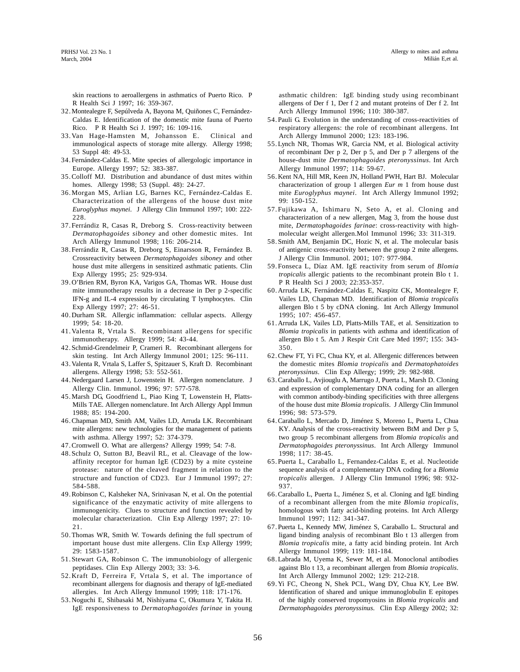skin reactions to aeroallergens in asthmatics of Puerto Rico. P R Health Sci J 1997; 16: 359-367.

- 32.Montealegre F, Sepúlveda A, Bayona M, Quiñones C, Fernández-Caldas E. Identification of the domestic mite fauna of Puerto Rico. P R Health Sci J. 1997; 16: 109-116.
- 33.Van Hage-Hamsten M, Johansson E. Clinical and immunological aspects of storage mite allergy. Allergy 1998; 53 Suppl 48: 49-53.
- 34.Fernández-Caldas E. Mite species of allergologic importance in Europe. Allergy 1997; 52: 383-387.
- 35.Colloff MJ. Distribution and abundance of dust mites within homes. Allergy 1998; 53 (Suppl. 48): 24-27.
- 36.Morgan MS, Arlian LG, Barnes KC, Fernández-Caldas E. Characterization of the allergens of the house dust mite *Euroglyphus maynei*. J Allergy Clin Immunol 1997; 100: 222- 228.
- 37.Ferrándiz R, Casas R, Dreborg S. Cross-reactivity between *Dermatophagoides siboney* and other domestic mites. Int Arch Allergy Immunol 1998; 116: 206-214.
- 38.Ferrándiz R, Casas R, Dreborg S, Einarsson R, Fernández B. Crossreactivity between *Dermatophagoides siboney* and other house dust mite allergens in sensitized asthmatic patients. Clin Exp Allergy 1995; 25: 929-934.
- 39.O'Brien RM, Byron KA, Varigos GA, Thomas WR. House dust mite immunotherapy results in a decrease in Der p 2-specific IFN-g and IL-4 expression by circulating T lymphocytes. Clin Exp Allergy 1997; 27: 46-51.
- 40.Durham SR. Allergic inflammation: cellular aspects. Allergy 1999; 54: 18-20.
- 41.Valenta R, Vrtala S. Recombinant allergens for specific immunotherapy. Allergy 1999; 54: 43-44.
- 42.Schmid-Grendelmeir P, Crameri R. Recombinant allergens for skin testing. Int Arch Allergy Immunol 2001; 125: 96-111.
- 43.Valenta R, Vrtala S, Laffer S, Spitzauer S, Kraft D. Recombinant allergens. Allergy 1998; 53: 552-561.
- 44.Nedergaard Larsen J, Lowenstein H. Allergen nomenclature. J Allergy Clin. Immunol. 1996; 97: 577-578.
- 45.Marsh DG, Goodfriend L, Piao King T, Lowenstein H, Platts-Mills TAE. Allergen nomenclature. Int Arch Allergy Appl Immun 1988; 85: 194-200.
- 46.Chapman MD, Smith AM, Vailes LD, Arruda LK. Recombinant mite allergens: new technologies for the management of patients with asthma. Allergy 1997; 52: 374-379.
- 47.Cromwell O. What are allergens? Allergy 1999; 54: 7-8.
- 48.Schulz O, Sutton BJ, Beavil RL, et al. Cleavage of the lowaffinity receptor for human IgE (CD23) by a mite cysteine protease: nature of the cleaved fragment in relation to the structure and function of CD23. Eur J Immunol 1997; 27: 584-588.
- 49.Robinson C, Kalsheker NA, Srinivasan N, et al. On the potential significance of the enzymatic activity of mite allergens to immunogenicity. Clues to structure and function revealed by molecular characterization. Clin Exp Allergy 1997; 27: 10- 21.
- 50.Thomas WR, Smith W. Towards defining the full spectrum of important house dust mite allergens. Clin Exp Allergy 1999; 29: 1583-1587.
- 51.Stewart GA, Robinson C. The immunobiology of allergenic peptidases. Clin Exp Allergy 2003; 33: 3-6.
- 52.Kraft D, Ferreira F, Vrtala S, et al. The importance of recombinant allergens for diagnosis and therapy of IgE-mediated allergies. Int Arch Allergy Immunol 1999; 118: 171-176.
- 53.Noguchi E, Shibasaki M, Nishiyama C, Okumura Y, Takita H. IgE responsiveness to *Dermatophagoides farinae* in young

asthmatic children: IgE binding study using recombinant allergens of Der f 1, Der f 2 and mutant proteins of Der f 2. Int Arch Allergy Immunol 1996; 110: 380-387.

- 54.Pauli G. Evolution in the understanding of cross-reactivities of respiratory allergens: the role of recombinant allergens. Int Arch Allergy Immunol 2000; 123: 183-196.
- 55.Lynch NR, Thomas WR, Garcia NM, et al. Biological activity of recombinant Der p 2, Der p 5, and Der p 7 allergens of the house-dust mite *Dermatophagoides pteronyssinus*. Int Arch Allergy Immunol 1997; 114: 59-67.
- 56.Kent NA, Hill MR, Keen JN, Holland PWH, Hart BJ. Molecular characterization of group 1 allergen *Eur m* 1 from house dust mite *Euroglyphus maynei*. Int Arch Allergy Immunol 1992; 99: 150-152.
- 57.Fujikawa A, Ishimaru N, Seto A, et al. Cloning and characterization of a new allergen, Mag 3, from the house dust mite, *Dermatophagoides farinae*: cross-reactivity with highmolecular weight allergen.Mol Immunol 1996; 33: 311-319.
- 58.Smith AM, Benjamin DC, Hozic N, et al. The molecular basis of antigenic cross-reactivity between the group 2 mite allergens. J Allergy Clin Immunol. 2001; 107: 977-984.
- 59.Fonseca L, Díaz AM. IgE reactivity from serum of *Blomia tropicalis* allergic patients to the recombinant protein Blo t 1. P R Health Sci J 2003; 22:353-357.
- 60.Arruda LK, Fernández-Caldas E, Naspitz CK, Montealegre F, Vailes LD, Chapman MD. Identification of *Blomia tropicalis* allergen Blo t 5 by cDNA cloning. Int Arch Allergy Immunol 1995; 107: 456-457.
- 61.Arruda LK, Vailes LD, Platts-Mills TAE, et al. Sensitization to *Blomia tropicalis* in patients with asthma and identification of allergen Blo t 5. Am J Respir Crit Care Med 1997; 155: 343- 350.
- 62.Chew FT, Yi FC, Chua KY, et al. Allergenic differences between the domestic mites *Blomia tropicalis* and *Dermatophatoides pteronyssinus*. Clin Exp Allergy; 1999; 29: 982-988.
- 63.Caraballo L, Avjiouglu A, Marrugo J, Puerta L, Marsh D. Cloning and expression of complementary DNA coding for an allergen with common antibody-binding specificities with three allergens of the house dust mite *Blomia tropicalis*. J Allergy Clin Immunol 1996; 98: 573-579.
- 64.Caraballo L, Mercado D, Jiménez S, Moreno L, Puerta L, Chua KY. Analysis of the cross-reactivity between BtM and Der p 5, two group 5 recombinant allergens from *Blomia tropicalis* and *Dermatophagoides pteronyssinus*. Int Arch Allergy Immunol 1998; 117: 38-45.
- 65.Puerta L, Caraballo L, Fernandez-Caldas E, et al. Nucleotide sequence analysis of a complementary DNA coding for a *Blomia tropicalis* allergen. J Allergy Clin Immunol 1996; 98: 932- 937.
- 66.Caraballo L, Puerta L, Jiménez S, et al. Cloning and IgE binding of a recombinant allergen from the mite *Blomia tropicalis*, homologous with fatty acid-binding proteins. Int Arch Allergy Immunol 1997; 112: 341-347.
- 67.Puerta L, Kennedy MW, Jiménez S, Caraballo L. Structural and ligand binding analysis of recombinant Blo t 13 allergen from *Blomia tropicalis* mite, a fatty acid binding protein. Int Arch Allergy Immunol 1999; 119: 181-184.
- 68.Labrada M, Uyema K, Sewer M, et al. Monoclonal antibodies against Blo t 13, a recombinant allergen from *Blomia tropicalis*. Int Arch Allergy Immunol 2002; 129: 212-218.
- 69.Yi FC, Cheong N, Shek PCL, Wang DY, Chua KY, Lee BW. Identification of shared and unique immunoglobulin E epitopes of the highly conserved tropomyosins in *Blomia tropicalis* and *Dermatophagoides pteronyssinus*. Clin Exp Allergy 2002; 32: